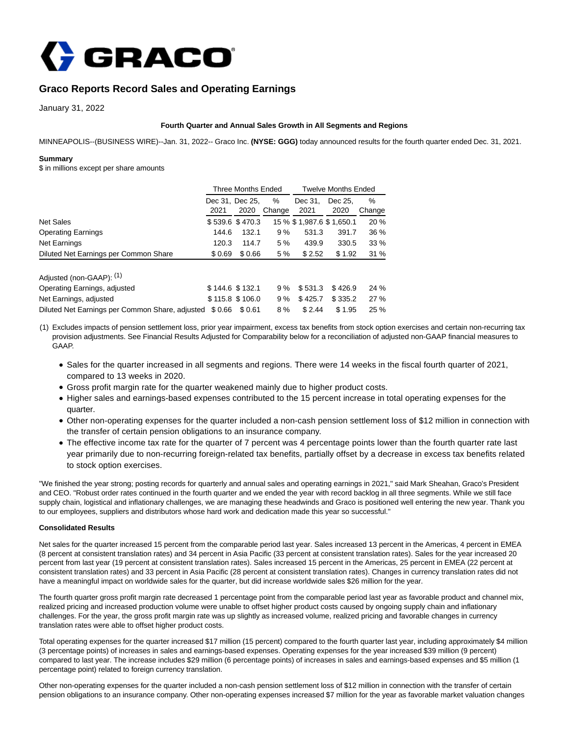

# **Graco Reports Record Sales and Operating Earnings**

January 31, 2022

## **Fourth Quarter and Annual Sales Growth in All Segments and Regions**

MINNEAPOLIS--(BUSINESS WIRE)--Jan. 31, 2022-- Graco Inc. **(NYSE: GGG)** today announced results for the fourth quarter ended Dec. 31, 2021.

## **Summary**

\$ in millions except per share amounts

|                                                 | <b>Three Months Ended</b> |                 |        | <b>Twelve Months Ended</b> |                            |        |  |
|-------------------------------------------------|---------------------------|-----------------|--------|----------------------------|----------------------------|--------|--|
|                                                 | Dec 31, Dec 25,           |                 | %      | Dec 31.                    | Dec 25.                    | ℅      |  |
|                                                 | 2021                      | 2020            | Change | 2021                       | 2020                       | Change |  |
| <b>Net Sales</b>                                |                           | \$539.6 \$470.3 |        |                            | 15 % \$ 1,987.6 \$ 1,650.1 | 20 %   |  |
| <b>Operating Earnings</b>                       | 144.6                     | 132.1           | 9%     | 531.3                      | 391.7                      | 36 %   |  |
| Net Earnings                                    | 120.3                     | 114.7           | 5%     | 439.9                      | 330.5                      | 33 %   |  |
| Diluted Net Earnings per Common Share           | \$0.69                    | \$0.66          | 5 %    | \$2.52                     | \$1.92                     | 31%    |  |
| Adjusted (non-GAAP): (1)                        |                           |                 |        |                            |                            |        |  |
| Operating Earnings, adjusted                    |                           | \$144.6 \$132.1 | 9%     | \$531.3                    | \$426.9                    | 24 %   |  |
| Net Earnings, adjusted                          |                           | \$115.8 \$106.0 | 9%     | \$425.7                    | \$335.2                    | 27 %   |  |
| Diluted Net Earnings per Common Share, adjusted | \$0.66                    | \$0.61          | 8%     | \$2.44                     | \$1.95                     | 25 %   |  |

(1) Excludes impacts of pension settlement loss, prior year impairment, excess tax benefits from stock option exercises and certain non-recurring tax provision adjustments. See Financial Results Adjusted for Comparability below for a reconciliation of adjusted non-GAAP financial measures to GAAP.

- Sales for the quarter increased in all segments and regions. There were 14 weeks in the fiscal fourth quarter of 2021, compared to 13 weeks in 2020.
- Gross profit margin rate for the quarter weakened mainly due to higher product costs.
- Higher sales and earnings-based expenses contributed to the 15 percent increase in total operating expenses for the quarter.
- Other non-operating expenses for the quarter included a non-cash pension settlement loss of \$12 million in connection with the transfer of certain pension obligations to an insurance company.
- The effective income tax rate for the quarter of 7 percent was 4 percentage points lower than the fourth quarter rate last year primarily due to non-recurring foreign-related tax benefits, partially offset by a decrease in excess tax benefits related to stock option exercises.

"We finished the year strong; posting records for quarterly and annual sales and operating earnings in 2021," said Mark Sheahan, Graco's President and CEO. "Robust order rates continued in the fourth quarter and we ended the year with record backlog in all three segments. While we still face supply chain, logistical and inflationary challenges, we are managing these headwinds and Graco is positioned well entering the new year. Thank you to our employees, suppliers and distributors whose hard work and dedication made this year so successful."

## **Consolidated Results**

Net sales for the quarter increased 15 percent from the comparable period last year. Sales increased 13 percent in the Americas, 4 percent in EMEA (8 percent at consistent translation rates) and 34 percent in Asia Pacific (33 percent at consistent translation rates). Sales for the year increased 20 percent from last year (19 percent at consistent translation rates). Sales increased 15 percent in the Americas, 25 percent in EMEA (22 percent at consistent translation rates) and 33 percent in Asia Pacific (28 percent at consistent translation rates). Changes in currency translation rates did not have a meaningful impact on worldwide sales for the quarter, but did increase worldwide sales \$26 million for the year.

The fourth quarter gross profit margin rate decreased 1 percentage point from the comparable period last year as favorable product and channel mix, realized pricing and increased production volume were unable to offset higher product costs caused by ongoing supply chain and inflationary challenges. For the year, the gross profit margin rate was up slightly as increased volume, realized pricing and favorable changes in currency translation rates were able to offset higher product costs.

Total operating expenses for the quarter increased \$17 million (15 percent) compared to the fourth quarter last year, including approximately \$4 million (3 percentage points) of increases in sales and earnings-based expenses. Operating expenses for the year increased \$39 million (9 percent) compared to last year. The increase includes \$29 million (6 percentage points) of increases in sales and earnings-based expenses and \$5 million (1 percentage point) related to foreign currency translation.

Other non-operating expenses for the quarter included a non-cash pension settlement loss of \$12 million in connection with the transfer of certain pension obligations to an insurance company. Other non-operating expenses increased \$7 million for the year as favorable market valuation changes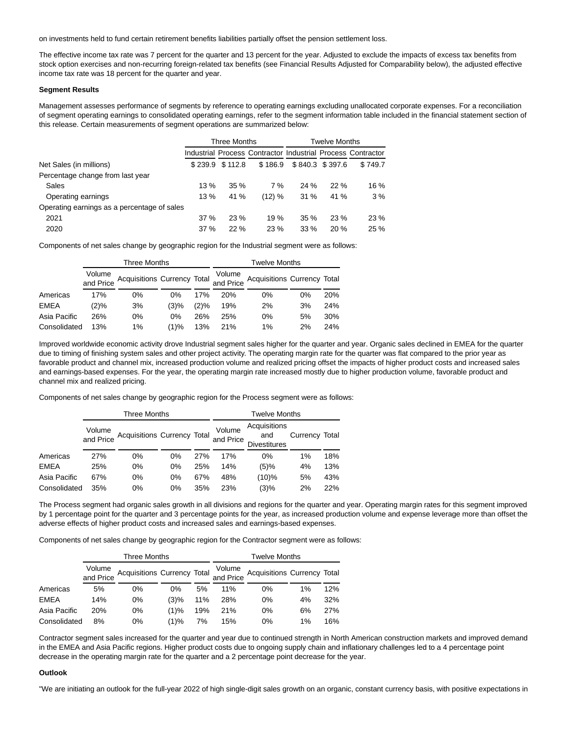on investments held to fund certain retirement benefits liabilities partially offset the pension settlement loss.

The effective income tax rate was 7 percent for the quarter and 13 percent for the year. Adjusted to exclude the impacts of excess tax benefits from stock option exercises and non-recurring foreign-related tax benefits (see Financial Results Adjusted for Comparability below), the adjusted effective income tax rate was 18 percent for the quarter and year.

## **Segment Results**

Management assesses performance of segments by reference to operating earnings excluding unallocated corporate expenses. For a reconciliation of segment operating earnings to consolidated operating earnings, refer to the segment information table included in the financial statement section of this release. Certain measurements of segment operations are summarized below:

|                                             | Three Months |                   |                                                             | Twelve Months |                 |         |
|---------------------------------------------|--------------|-------------------|-------------------------------------------------------------|---------------|-----------------|---------|
|                                             |              |                   | Industrial Process Contractor Industrial Process Contractor |               |                 |         |
| Net Sales (in millions)                     |              | $$239.9$ $$112.8$ | \$186.9                                                     |               | \$840.3 \$397.6 | \$749.7 |
| Percentage change from last year            |              |                   |                                                             |               |                 |         |
| Sales                                       | 13%          | 35 %              | 7 %                                                         | 24%           | 22%             | 16 %    |
| Operating earnings                          | 13%          | 41 %              | (12) %                                                      | 31%           | 41 %            | 3%      |
| Operating earnings as a percentage of sales |              |                   |                                                             |               |                 |         |
| 2021                                        | 37%          | 23%               | 19%                                                         | 35%           | 23%             | 23 %    |
| 2020                                        | 37 %         | 22%               | 23 %                                                        | $33\%$        | 20%             | 25 %    |

Components of net sales change by geographic region for the Industrial segment were as follows:

|              | Three Months        |                             |       |        | Twelve Months |                                       |       |            |
|--------------|---------------------|-----------------------------|-------|--------|---------------|---------------------------------------|-------|------------|
|              | Volume<br>and Price | Acquisitions Currency Total |       | Volume |               | and Price Acquisitions Currency Total |       |            |
| Americas     | 17%                 | 0%                          | 0%    | 17%    | <b>20%</b>    | $0\%$                                 | $0\%$ | <b>20%</b> |
| <b>EMEA</b>  | (2)%                | 3%                          | (3)%  | (2)%   | 19%           | 2%                                    | 3%    | 24%        |
| Asia Pacific | 26%                 | $0\%$                       | $0\%$ | 26%    | 25%           | 0%                                    | 5%    | 30%        |
| Consolidated | 13%                 | 1%                          | (1)%  | 13%    | <b>21%</b>    | 1%                                    | 2%    | 24%        |

Improved worldwide economic activity drove Industrial segment sales higher for the quarter and year. Organic sales declined in EMEA for the quarter due to timing of finishing system sales and other project activity. The operating margin rate for the quarter was flat compared to the prior year as favorable product and channel mix, increased production volume and realized pricing offset the impacts of higher product costs and increased sales and earnings-based expenses. For the year, the operating margin rate increased mostly due to higher production volume, favorable product and channel mix and realized pricing.

Components of net sales change by geographic region for the Process segment were as follows:

|              | <b>Three Months</b> |                             |    |     | <b>Twelve Months</b>                                              |         |                |     |
|--------------|---------------------|-----------------------------|----|-----|-------------------------------------------------------------------|---------|----------------|-----|
|              | Volume<br>and Price | Acquisitions Currency Total |    |     | Acquisitions<br>Volume<br>and<br>and Price<br><b>Divestitures</b> |         | Currency Total |     |
| Americas     | 27%                 | $0\%$                       | 0% | 27% | 17%                                                               | 0%      | 1%             | 18% |
| <b>EMEA</b>  | 25%                 | $0\%$                       | 0% | 25% | 14%                                                               | (5)%    | 4%             | 13% |
| Asia Pacific | 67%                 | $0\%$                       | 0% | 67% | 48%                                                               | (10)%   | 5%             | 43% |
| Consolidated | 35%                 | 0%                          | 0% | 35% | 23%                                                               | $(3)\%$ | 2%             | 22% |

The Process segment had organic sales growth in all divisions and regions for the quarter and year. Operating margin rates for this segment improved by 1 percentage point for the quarter and 3 percentage points for the year, as increased production volume and expense leverage more than offset the adverse effects of higher product costs and increased sales and earnings-based expenses.

Components of net sales change by geographic region for the Contractor segment were as follows:

|              | Three Months        |                                                                   |      |     | <b>Twelve Months</b> |       |       |     |
|--------------|---------------------|-------------------------------------------------------------------|------|-----|----------------------|-------|-------|-----|
|              | Volume<br>and Price | Acquisitions Currency Total and Price Acquisitions Currency Total |      |     | Volume               |       |       |     |
| Americas     | 5%                  | 0%                                                                | 0%   | 5%  | 11%                  | 0%    | $1\%$ | 12% |
| <b>EMEA</b>  | 14%                 | $0\%$                                                             | (3)% | 11% | 28%                  | $0\%$ | 4%    | 32% |
| Asia Pacific | 20%                 | $0\%$                                                             | (1)% | 19% | 21%                  | $0\%$ | 6%    | 27% |
| Consolidated | 8%                  | 0%                                                                | (1)% | 7%  | 15%                  | $0\%$ | 1%    | 16% |

Contractor segment sales increased for the quarter and year due to continued strength in North American construction markets and improved demand in the EMEA and Asia Pacific regions. Higher product costs due to ongoing supply chain and inflationary challenges led to a 4 percentage point decrease in the operating margin rate for the quarter and a 2 percentage point decrease for the year.

#### **Outlook**

"We are initiating an outlook for the full-year 2022 of high single-digit sales growth on an organic, constant currency basis, with positive expectations in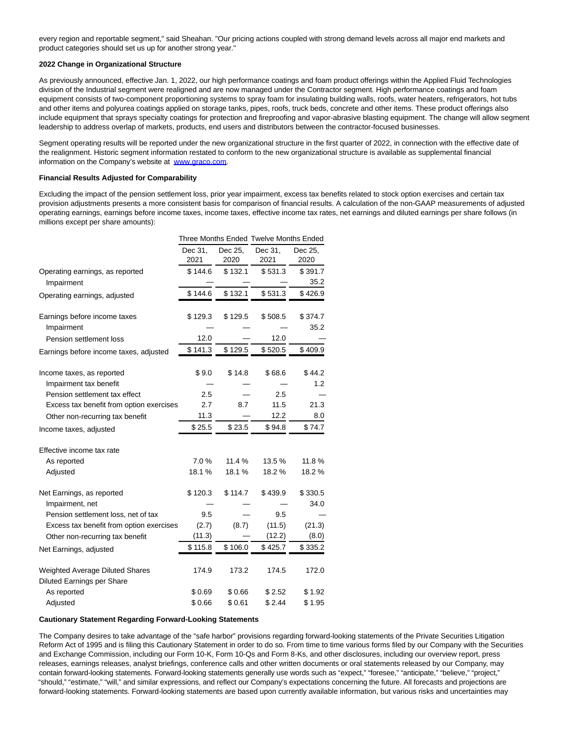every region and reportable segment," said Sheahan. "Our pricing actions coupled with strong demand levels across all major end markets and product categories should set us up for another strong year."

### **2022 Change in Organizational Structure**

As previously announced, effective Jan. 1, 2022, our high performance coatings and foam product offerings within the Applied Fluid Technologies division of the Industrial segment were realigned and are now managed under the Contractor segment. High performance coatings and foam equipment consists of two-component proportioning systems to spray foam for insulating building walls, roofs, water heaters, refrigerators, hot tubs and other items and polyurea coatings applied on storage tanks, pipes, roofs, truck beds, concrete and other items. These product offerings also include equipment that sprays specialty coatings for protection and fireproofing and vapor-abrasive blasting equipment. The change will allow segment leadership to address overlap of markets, products, end users and distributors between the contractor-focused businesses.

Segment operating results will be reported under the new organizational structure in the first quarter of 2022, in connection with the effective date of the realignment. Historic segment information restated to conform to the new organizational structure is available as supplemental financial information on the Company's website at [www.graco.com.](https://cts.businesswire.com/ct/CT?id=smartlink&url=http%3A%2F%2Fwww.graco.com&esheet=52571430&newsitemid=20220131005792&lan=en-US&anchor=www.graco.com&index=1&md5=d956c25b897b2687c0246d3922312392)

## **Financial Results Adjusted for Comparability**

Excluding the impact of the pension settlement loss, prior year impairment, excess tax benefits related to stock option exercises and certain tax provision adjustments presents a more consistent basis for comparison of financial results. A calculation of the non-GAAP measurements of adjusted operating earnings, earnings before income taxes, income taxes, effective income tax rates, net earnings and diluted earnings per share follows (in millions except per share amounts):

|                                          |                 |                 | Three Months Ended Twelve Months Ended |                 |
|------------------------------------------|-----------------|-----------------|----------------------------------------|-----------------|
|                                          | Dec 31.<br>2021 | Dec 25,<br>2020 | Dec 31,<br>2021                        | Dec 25,<br>2020 |
| Operating earnings, as reported          | \$144.6         | \$132.1         | \$531.3                                | \$391.7         |
| Impairment                               |                 |                 |                                        | 35.2            |
| Operating earnings, adjusted             | \$144.6         | \$132.1         | \$531.3                                | \$426.9         |
| Earnings before income taxes             | \$129.3         | \$129.5         | \$508.5                                | \$374.7         |
| Impairment                               |                 |                 |                                        | 35.2            |
| Pension settlement loss                  | 12.0            |                 | 12.0                                   |                 |
| Earnings before income taxes, adjusted   | \$141.3         | \$129.5         | \$520.5                                | \$409.9         |
| Income taxes, as reported                | \$9.0           | \$14.8          | \$68.6                                 | \$44.2          |
| Impairment tax benefit                   |                 |                 |                                        | 1.2             |
| Pension settlement tax effect            | 2.5             |                 | 2.5                                    |                 |
| Excess tax benefit from option exercises | 2.7             | 8.7             | 11.5                                   | 21.3            |
| Other non-recurring tax benefit          | 11.3            |                 | 12.2                                   | 8.0             |
| Income taxes, adjusted                   | \$25.5          | \$23.5          | \$94.8                                 | \$74.7          |
| Effective income tax rate                |                 |                 |                                        |                 |
| As reported                              | 7.0%            | 11.4 %          | 13.5%                                  | 11.8%           |
| Adjusted                                 | 18.1%           | 18.1%           | 18.2%                                  | 18.2%           |
| Net Earnings, as reported                | \$120.3         | \$114.7         | \$439.9                                | \$330.5         |
| Impairment, net                          |                 |                 |                                        | 34.0            |
| Pension settlement loss, net of tax      | 9.5             |                 | 9.5                                    |                 |
| Excess tax benefit from option exercises | (2.7)           | (8.7)           | (11.5)                                 | (21.3)          |
| Other non-recurring tax benefit          | (11.3)          |                 | (12.2)                                 | (8.0)           |
| Net Earnings, adjusted                   | \$115.8         | \$106.0         | \$425.7                                | \$335.2         |
| Weighted Average Diluted Shares          | 174.9           | 173.2           | 174.5                                  | 172.0           |
| Diluted Earnings per Share               |                 |                 |                                        |                 |
| As reported                              | \$0.69          | \$0.66          | \$2.52                                 | \$1.92          |
| Adjusted                                 | \$0.66          | \$0.61          | \$2.44                                 | \$1.95          |

#### **Cautionary Statement Regarding Forward-Looking Statements**

The Company desires to take advantage of the "safe harbor" provisions regarding forward-looking statements of the Private Securities Litigation Reform Act of 1995 and is filing this Cautionary Statement in order to do so. From time to time various forms filed by our Company with the Securities and Exchange Commission, including our Form 10-K, Form 10-Qs and Form 8-Ks, and other disclosures, including our overview report, press releases, earnings releases, analyst briefings, conference calls and other written documents or oral statements released by our Company, may contain forward-looking statements. Forward-looking statements generally use words such as "expect," "foresee," "anticipate," "believe," "project," "should," "estimate," "will," and similar expressions, and reflect our Company's expectations concerning the future. All forecasts and projections are forward-looking statements. Forward-looking statements are based upon currently available information, but various risks and uncertainties may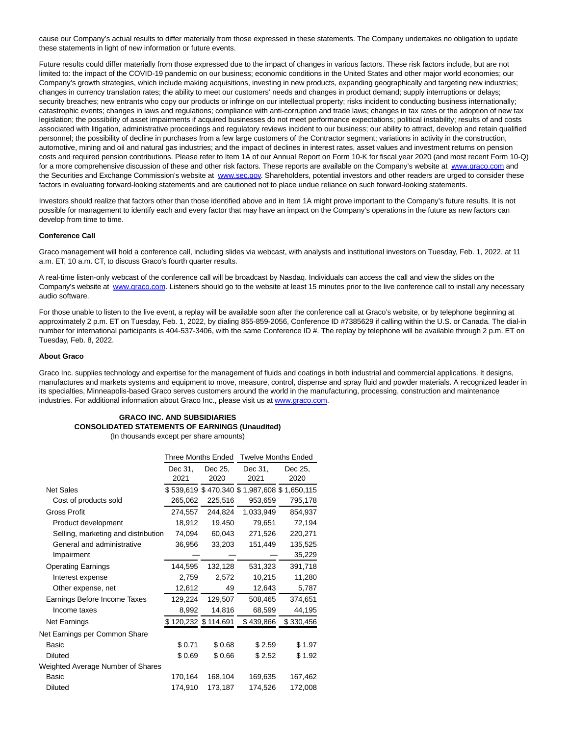cause our Company's actual results to differ materially from those expressed in these statements. The Company undertakes no obligation to update these statements in light of new information or future events.

Future results could differ materially from those expressed due to the impact of changes in various factors. These risk factors include, but are not limited to: the impact of the COVID-19 pandemic on our business; economic conditions in the United States and other major world economies; our Company's growth strategies, which include making acquisitions, investing in new products, expanding geographically and targeting new industries; changes in currency translation rates; the ability to meet our customers' needs and changes in product demand; supply interruptions or delays; security breaches; new entrants who copy our products or infringe on our intellectual property; risks incident to conducting business internationally; catastrophic events; changes in laws and regulations; compliance with anti-corruption and trade laws; changes in tax rates or the adoption of new tax legislation; the possibility of asset impairments if acquired businesses do not meet performance expectations; political instability; results of and costs associated with litigation, administrative proceedings and regulatory reviews incident to our business; our ability to attract, develop and retain qualified personnel; the possibility of decline in purchases from a few large customers of the Contractor segment; variations in activity in the construction, automotive, mining and oil and natural gas industries; and the impact of declines in interest rates, asset values and investment returns on pension costs and required pension contributions. Please refer to Item 1A of our Annual Report on Form 10-K for fiscal year 2020 (and most recent Form 10-Q) for a more comprehensive discussion of these and other risk factors. These reports are available on the Company's website at [www.graco.com a](https://cts.businesswire.com/ct/CT?id=smartlink&url=http%3A%2F%2Fwww.graco.com&esheet=52571430&newsitemid=20220131005792&lan=en-US&anchor=www.graco.com&index=2&md5=0df3eaf2f8b8c63c056516ec699b6be2)nd the Securities and Exchange Commission's website at [www.sec.gov.](https://cts.businesswire.com/ct/CT?id=smartlink&url=http%3A%2F%2Fwww.sec.gov&esheet=52571430&newsitemid=20220131005792&lan=en-US&anchor=www.sec.gov&index=3&md5=f35caccb8313ba162aadb815d21bc64c) Shareholders, potential investors and other readers are urged to consider these factors in evaluating forward-looking statements and are cautioned not to place undue reliance on such forward-looking statements.

Investors should realize that factors other than those identified above and in Item 1A might prove important to the Company's future results. It is not possible for management to identify each and every factor that may have an impact on the Company's operations in the future as new factors can develop from time to time.

## **Conference Call**

Graco management will hold a conference call, including slides via webcast, with analysts and institutional investors on Tuesday, Feb. 1, 2022, at 11 a.m. ET, 10 a.m. CT, to discuss Graco's fourth quarter results.

A real-time listen-only webcast of the conference call will be broadcast by Nasdaq. Individuals can access the call and view the slides on the Company's website at [www.graco.com.](https://cts.businesswire.com/ct/CT?id=smartlink&url=http%3A%2F%2Fwww.graco.com&esheet=52571430&newsitemid=20220131005792&lan=en-US&anchor=www.graco.com&index=4&md5=7176bf4491aac944d389be02ff7d3771) Listeners should go to the website at least 15 minutes prior to the live conference call to install any necessary audio software.

For those unable to listen to the live event, a replay will be available soon after the conference call at Graco's website, or by telephone beginning at approximately 2 p.m. ET on Tuesday, Feb. 1, 2022, by dialing 855-859-2056, Conference ID #7385629 if calling within the U.S. or Canada. The dial-in number for international participants is 404-537-3406, with the same Conference ID #. The replay by telephone will be available through 2 p.m. ET on Tuesday, Feb. 8, 2022.

#### **About Graco**

Graco Inc. supplies technology and expertise for the management of fluids and coatings in both industrial and commercial applications. It designs, manufactures and markets systems and equipment to move, measure, control, dispense and spray fluid and powder materials. A recognized leader in its specialties, Minneapolis-based Graco serves customers around the world in the manufacturing, processing, construction and maintenance industries. For additional information about Graco Inc., please visit us at [www.graco.com.](https://cts.businesswire.com/ct/CT?id=smartlink&url=http%3A%2F%2Fwww.graco.com&esheet=52571430&newsitemid=20220131005792&lan=en-US&anchor=www.graco.com&index=5&md5=8fe08a5e68deef2f47d3dbc981ff3457)

## **GRACO INC. AND SUBSIDIARIES CONSOLIDATED STATEMENTS OF EARNINGS (Unaudited)**

(In thousands except per share amounts)

|                                     | Three Months Ended  |         | <b>Twelve Months Ended</b>                  |           |
|-------------------------------------|---------------------|---------|---------------------------------------------|-----------|
|                                     | Dec 31,             | Dec 25, | Dec 31,                                     | Dec 25,   |
|                                     | 2021                | 2020    | 2021                                        | 2020      |
| <b>Net Sales</b>                    |                     |         | \$539,619 \$470,340 \$1,987,608 \$1,650,115 |           |
| Cost of products sold               | 265,062             | 225,516 | 953,659                                     | 795,178   |
| <b>Gross Profit</b>                 | 274,557             | 244,824 | 1,033,949                                   | 854,937   |
| Product development                 | 18,912              | 19,450  | 79,651                                      | 72,194    |
| Selling, marketing and distribution | 74,094              | 60,043  | 271,526                                     | 220,271   |
| General and administrative          | 36,956              | 33,203  | 151,449                                     | 135,525   |
| Impairment                          |                     |         |                                             | 35,229    |
| <b>Operating Earnings</b>           | 144,595             | 132,128 | 531,323                                     | 391,718   |
| Interest expense                    | 2,759               | 2,572   | 10,215                                      | 11,280    |
| Other expense, net                  | 12,612              | 49      | 12,643                                      | 5,787     |
| Earnings Before Income Taxes        | 129,224             | 129,507 | 508,465                                     | 374,651   |
| Income taxes                        | 8,992               | 14,816  | 68,599                                      | 44,195    |
| Net Earnings                        | \$120,232 \$114,691 |         | \$439,866                                   | \$330,456 |
| Net Earnings per Common Share       |                     |         |                                             |           |
| Basic                               | \$0.71              | \$0.68  | \$2.59                                      | \$1.97    |
| <b>Diluted</b>                      | \$0.69              | \$0.66  | \$2.52                                      | \$1.92    |
| Weighted Average Number of Shares   |                     |         |                                             |           |
| Basic                               | 170,164             | 168,104 | 169,635                                     | 167,462   |
| <b>Diluted</b>                      | 174,910             | 173,187 | 174,526                                     | 172,008   |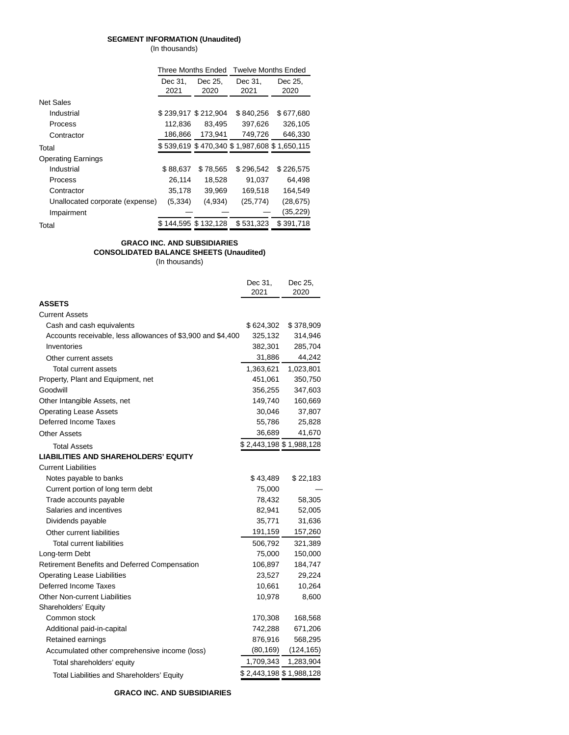## **SEGMENT INFORMATION (Unaudited)**

(In thousands)

|                                 | Three Months Ended  |                   | <b>Twelve Months Ended</b>                  |           |  |
|---------------------------------|---------------------|-------------------|---------------------------------------------|-----------|--|
|                                 | Dec 31,             | Dec 25.           | Dec 31,                                     | Dec 25,   |  |
|                                 | 2021                | 2020              | 2021                                        | 2020      |  |
| <b>Net Sales</b>                |                     |                   |                                             |           |  |
| Industrial                      | \$239.917 \$212.904 |                   | \$840.256                                   | \$677.680 |  |
| Process                         | 112.836             | 83.495            | 397.626                                     | 326,105   |  |
| Contractor                      | 186,866             | 173.941           | 749,726                                     | 646,330   |  |
| Total                           |                     |                   | \$539,619 \$470,340 \$1,987,608 \$1,650,115 |           |  |
| <b>Operating Earnings</b>       |                     |                   |                                             |           |  |
| Industrial                      | \$88,637            | \$78,565          | \$296.542                                   | \$226,575 |  |
| Process                         | 26,114              | 18,528            | 91,037                                      | 64.498    |  |
| Contractor                      | 35,178              | 39,969            | 169,518                                     | 164,549   |  |
| Unallocated corporate (expense) | (5, 334)            | (4,934)           | (25, 774)                                   | (28, 675) |  |
| Impairment                      |                     |                   |                                             | (35,229)  |  |
| Total                           | S.                  | 144,595 \$132,128 | \$531,323                                   | \$391,718 |  |

# **GRACO INC. AND SUBSIDIARIES**

## **CONSOLIDATED BALANCE SHEETS (Unaudited)**

(In thousands)

|                                                             | Dec 31,<br>2021         | Dec 25,<br>2020 |
|-------------------------------------------------------------|-------------------------|-----------------|
| <b>ASSETS</b>                                               |                         |                 |
| <b>Current Assets</b>                                       |                         |                 |
| Cash and cash equivalents                                   | \$624,302               | \$378,909       |
| Accounts receivable, less allowances of \$3,900 and \$4,400 | 325,132                 | 314,946         |
| Inventories                                                 | 382,301                 | 285,704         |
| Other current assets                                        | 31,886                  | 44,242          |
| Total current assets                                        | 1,363,621               | 1,023,801       |
| Property, Plant and Equipment, net                          | 451,061                 | 350,750         |
| Goodwill                                                    | 356,255                 | 347,603         |
| Other Intangible Assets, net                                | 149,740                 | 160,669         |
| <b>Operating Lease Assets</b>                               | 30,046                  | 37,807          |
| Deferred Income Taxes                                       | 55,786                  | 25,828          |
| <b>Other Assets</b>                                         | 36,689                  | 41,670          |
| <b>Total Assets</b>                                         | \$2,443,198 \$1,988,128 |                 |
| <b>LIABILITIES AND SHAREHOLDERS' EQUITY</b>                 |                         |                 |
| <b>Current Liabilities</b>                                  |                         |                 |
| Notes payable to banks                                      | \$43,489                | \$22,183        |
| Current portion of long term debt                           | 75,000                  |                 |
| Trade accounts payable                                      | 78,432                  | 58,305          |
| Salaries and incentives                                     | 82,941                  | 52,005          |
| Dividends payable                                           | 35,771                  | 31,636          |
| Other current liabilities                                   | 191,159                 | 157,260         |
| <b>Total current liabilities</b>                            | 506,792                 | 321,389         |
| Long-term Debt                                              | 75,000                  | 150,000         |
| Retirement Benefits and Deferred Compensation               | 106,897                 | 184,747         |
| <b>Operating Lease Liabilities</b>                          | 23,527                  | 29,224          |
| Deferred Income Taxes                                       | 10,661                  | 10,264          |
| <b>Other Non-current Liabilities</b>                        | 10,978                  | 8,600           |
| Shareholders' Equity                                        |                         |                 |
| Common stock                                                | 170,308                 | 168,568         |
| Additional paid-in-capital                                  | 742,288                 | 671,206         |
| Retained earnings                                           | 876,916                 | 568,295         |
| Accumulated other comprehensive income (loss)               | (80, 169)               | (124, 165)      |
| Total shareholders' equity                                  | 1,709,343               | 1,283,904       |
| Total Liabilities and Shareholders' Equity                  | \$2,443,198 \$1,988,128 |                 |
|                                                             |                         |                 |

**GRACO INC. AND SUBSIDIARIES**